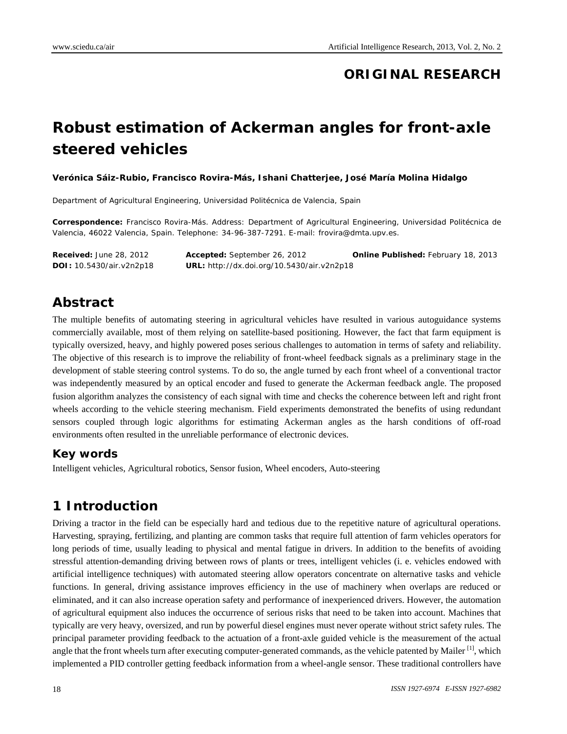## **ORIGINAL RESEARCH**

# **Robust estimation of Ackerman angles for front-axle steered vehicles**

**Verónica Sáiz-Rubio, Francisco Rovira-Más, Ishani Chatterjee, José María Molina Hidalgo** 

Department of Agricultural Engineering, Universidad Politécnica de Valencia, Spain

**Correspondence:** Francisco Rovira-Más. Address: Department of Agricultural Engineering, Universidad Politécnica de Valencia, 46022 Valencia, Spain. Telephone: 34-96-387-7291. E-mail: frovira@dmta.upv.es.

**Received:** June 28, 2012 **Accepted:** September 26, 2012 **Online Published:** February 18, 2013 **DOI:** 10.5430/air.v2n2p18 **URL:** http://dx.doi.org/10.5430/air.v2n2p18

## **Abstract**

The multiple benefits of automating steering in agricultural vehicles have resulted in various autoguidance systems commercially available, most of them relying on satellite-based positioning. However, the fact that farm equipment is typically oversized, heavy, and highly powered poses serious challenges to automation in terms of safety and reliability. The objective of this research is to improve the reliability of front-wheel feedback signals as a preliminary stage in the development of stable steering control systems. To do so, the angle turned by each front wheel of a conventional tractor was independently measured by an optical encoder and fused to generate the Ackerman feedback angle. The proposed fusion algorithm analyzes the consistency of each signal with time and checks the coherence between left and right front wheels according to the vehicle steering mechanism. Field experiments demonstrated the benefits of using redundant sensors coupled through logic algorithms for estimating Ackerman angles as the harsh conditions of off-road environments often resulted in the unreliable performance of electronic devices.

#### **Key words**

Intelligent vehicles, Agricultural robotics, Sensor fusion, Wheel encoders, Auto-steering

### **1 Introduction**

Driving a tractor in the field can be especially hard and tedious due to the repetitive nature of agricultural operations. Harvesting, spraying, fertilizing, and planting are common tasks that require full attention of farm vehicles operators for long periods of time, usually leading to physical and mental fatigue in drivers. In addition to the benefits of avoiding stressful attention-demanding driving between rows of plants or trees, intelligent vehicles (i. e. vehicles endowed with artificial intelligence techniques) with automated steering allow operators concentrate on alternative tasks and vehicle functions. In general, driving assistance improves efficiency in the use of machinery when overlaps are reduced or eliminated, and it can also increase operation safety and performance of inexperienced drivers. However, the automation of agricultural equipment also induces the occurrence of serious risks that need to be taken into account. Machines that typically are very heavy, oversized, and run by powerful diesel engines must never operate without strict safety rules. The principal parameter providing feedback to the actuation of a front-axle guided vehicle is the measurement of the actual angle that the front wheels turn after executing computer-generated commands, as the vehicle patented by Mailer  $\left[1\right]$ , which implemented a PID controller getting feedback information from a wheel-angle sensor. These traditional controllers have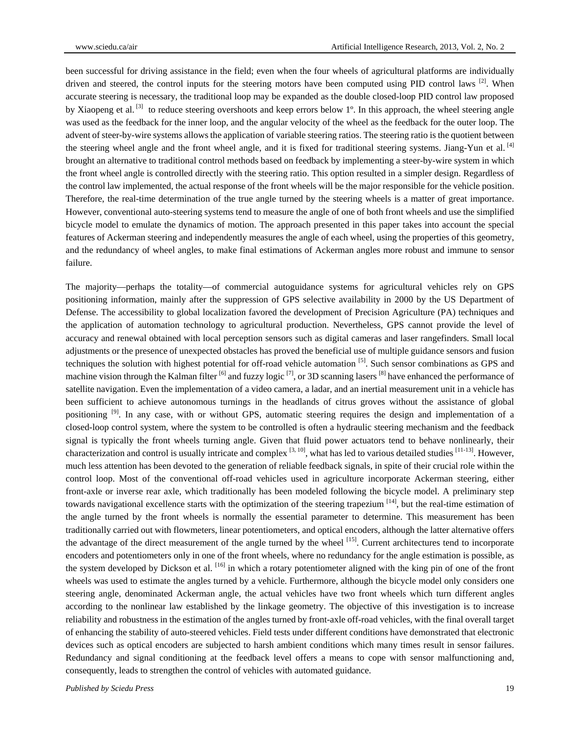been successful for driving assistance in the field; even when the four wheels of agricultural platforms are individually driven and steered, the control inputs for the steering motors have been computed using PID control laws  $[2]$ . When accurate steering is necessary, the traditional loop may be expanded as the double closed-loop PID control law proposed by Xiaopeng et al.  $^{[3]}$  to reduce steering overshoots and keep errors below 1<sup>o</sup>. In this approach, the wheel steering angle was used as the feedback for the inner loop, and the angular velocity of the wheel as the feedback for the outer loop. The advent of steer-by-wire systems allows the application of variable steering ratios. The steering ratio is the quotient between the steering wheel angle and the front wheel angle, and it is fixed for traditional steering systems. Jiang-Yun et al. [4] brought an alternative to traditional control methods based on feedback by implementing a steer-by-wire system in which the front wheel angle is controlled directly with the steering ratio. This option resulted in a simpler design. Regardless of the control law implemented, the actual response of the front wheels will be the major responsible for the vehicle position. Therefore, the real-time determination of the true angle turned by the steering wheels is a matter of great importance. However, conventional auto-steering systems tend to measure the angle of one of both front wheels and use the simplified bicycle model to emulate the dynamics of motion. The approach presented in this paper takes into account the special features of Ackerman steering and independently measures the angle of each wheel, using the properties of this geometry, and the redundancy of wheel angles, to make final estimations of Ackerman angles more robust and immune to sensor failure.

The majority—perhaps the totality—of commercial autoguidance systems for agricultural vehicles rely on GPS positioning information, mainly after the suppression of GPS selective availability in 2000 by the US Department of Defense. The accessibility to global localization favored the development of Precision Agriculture (PA) techniques and the application of automation technology to agricultural production. Nevertheless, GPS cannot provide the level of accuracy and renewal obtained with local perception sensors such as digital cameras and laser rangefinders. Small local adjustments or the presence of unexpected obstacles has proved the beneficial use of multiple guidance sensors and fusion techniques the solution with highest potential for off-road vehicle automation  $[5]$ . Such sensor combinations as GPS and machine vision through the Kalman filter  $\frac{16}{1}$  and fuzzy logic  $\frac{17}{1}$ , or 3D scanning lasers  $\frac{8}{1}$  have enhanced the performance of satellite navigation. Even the implementation of a video camera, a ladar, and an inertial measurement unit in a vehicle has been sufficient to achieve autonomous turnings in the headlands of citrus groves without the assistance of global positioning <sup>[9]</sup>. In any case, with or without GPS, automatic steering requires the design and implementation of a closed-loop control system, where the system to be controlled is often a hydraulic steering mechanism and the feedback signal is typically the front wheels turning angle. Given that fluid power actuators tend to behave nonlinearly, their characterization and control is usually intricate and complex  $[3, 10]$ , what has led to various detailed studies  $[11-13]$ . However, much less attention has been devoted to the generation of reliable feedback signals, in spite of their crucial role within the control loop. Most of the conventional off-road vehicles used in agriculture incorporate Ackerman steering, either front-axle or inverse rear axle, which traditionally has been modeled following the bicycle model. A preliminary step towards navigational excellence starts with the optimization of the steering trapezium  $[14]$ , but the real-time estimation of the angle turned by the front wheels is normally the essential parameter to determine. This measurement has been traditionally carried out with flowmeters, linear potentiometers, and optical encoders, although the latter alternative offers the advantage of the direct measurement of the angle turned by the wheel  $[15]$ . Current architectures tend to incorporate encoders and potentiometers only in one of the front wheels, where no redundancy for the angle estimation is possible, as the system developed by Dickson et al. [16] in which a rotary potentiometer aligned with the king pin of one of the front wheels was used to estimate the angles turned by a vehicle. Furthermore, although the bicycle model only considers one steering angle, denominated Ackerman angle, the actual vehicles have two front wheels which turn different angles according to the nonlinear law established by the linkage geometry. The objective of this investigation is to increase reliability and robustness in the estimation of the angles turned by front-axle off-road vehicles, with the final overall target of enhancing the stability of auto-steered vehicles. Field tests under different conditions have demonstrated that electronic devices such as optical encoders are subjected to harsh ambient conditions which many times result in sensor failures. Redundancy and signal conditioning at the feedback level offers a means to cope with sensor malfunctioning and, consequently, leads to strengthen the control of vehicles with automated guidance.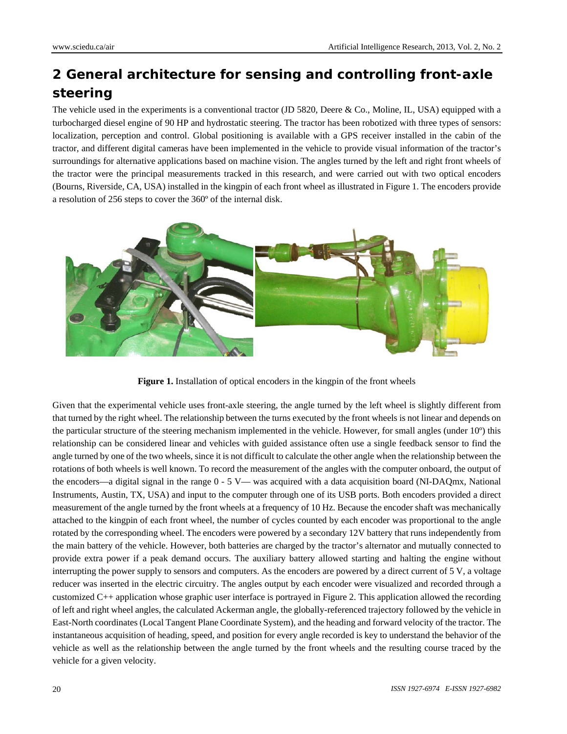## **2 General architecture for sensing and controlling front-axle steering**

The vehicle used in the experiments is a conventional tractor (JD 5820, Deere & Co., Moline, IL, USA) equipped with a turbocharged diesel engine of 90 HP and hydrostatic steering. The tractor has been robotized with three types of sensors: localization, perception and control. Global positioning is available with a GPS receiver installed in the cabin of the tractor, and different digital cameras have been implemented in the vehicle to provide visual information of the tractor's surroundings for alternative applications based on machine vision. The angles turned by the left and right front wheels of the tractor were the principal measurements tracked in this research, and were carried out with two optical encoders (Bourns, Riverside, CA, USA) installed in the kingpin of each front wheel as illustrated in Figure 1. The encoders provide a resolution of 256 steps to cover the 360º of the internal disk.



**Figure 1.** Installation of optical encoders in the kingpin of the front wheels

Given that the experimental vehicle uses front-axle steering, the angle turned by the left wheel is slightly different from that turned by the right wheel. The relationship between the turns executed by the front wheels is not linear and depends on the particular structure of the steering mechanism implemented in the vehicle. However, for small angles (under 10º) this relationship can be considered linear and vehicles with guided assistance often use a single feedback sensor to find the angle turned by one of the two wheels, since it is not difficult to calculate the other angle when the relationship between the rotations of both wheels is well known. To record the measurement of the angles with the computer onboard, the output of the encoders—a digital signal in the range  $0 - 5$  V— was acquired with a data acquisition board (NI-DAQmx, National Instruments, Austin, TX, USA) and input to the computer through one of its USB ports. Both encoders provided a direct measurement of the angle turned by the front wheels at a frequency of 10 Hz. Because the encoder shaft was mechanically attached to the kingpin of each front wheel, the number of cycles counted by each encoder was proportional to the angle rotated by the corresponding wheel. The encoders were powered by a secondary 12V battery that runs independently from the main battery of the vehicle. However, both batteries are charged by the tractor's alternator and mutually connected to provide extra power if a peak demand occurs. The auxiliary battery allowed starting and halting the engine without interrupting the power supply to sensors and computers. As the encoders are powered by a direct current of 5 V, a voltage reducer was inserted in the electric circuitry. The angles output by each encoder were visualized and recorded through a customized C++ application whose graphic user interface is portrayed in Figure 2. This application allowed the recording of left and right wheel angles, the calculated Ackerman angle, the globally-referenced trajectory followed by the vehicle in East-North coordinates (Local Tangent Plane Coordinate System), and the heading and forward velocity of the tractor. The instantaneous acquisition of heading, speed, and position for every angle recorded is key to understand the behavior of the vehicle as well as the relationship between the angle turned by the front wheels and the resulting course traced by the vehicle for a given velocity.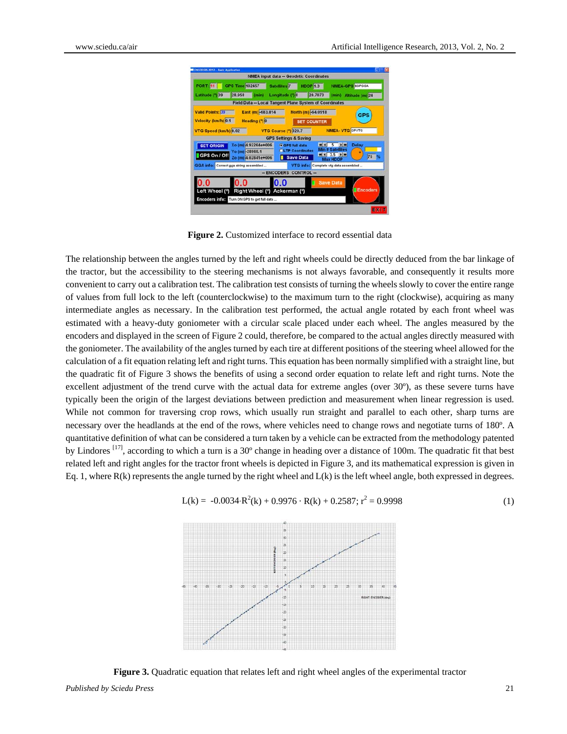| <b>DICODERS 2012 - Basic Application</b>    |                                                         |                                                  |                                                          |                       |
|---------------------------------------------|---------------------------------------------------------|--------------------------------------------------|----------------------------------------------------------|-----------------------|
|                                             |                                                         | <b>NMEA input data -- Geodetic Coordinates</b>   |                                                          |                       |
| <b>GPS Time 102457</b><br><b>PORT 11</b>    |                                                         | Satellites <sup>7</sup><br><b>HDOP 1.3</b>       | <b>NMEA-GPS SGPGGA</b>                                   |                       |
| Latitude (*) 39<br>28,958                   | (min)                                                   | Longitude (*) 0                                  | 20.7073                                                  | (min) Altitude (m) 24 |
|                                             | Field Data -- Local Tangent Plane System of Coordinates |                                                  |                                                          |                       |
| <b>Valid Points: 39</b>                     | East (m) -683.814                                       | North (m) -64.0918                               |                                                          | <b>GPS</b>            |
| Velocity (km/h) 0.1                         | Heading (*) 0                                           | <b>SET COUNTER</b>                               |                                                          |                       |
| VTG Speed (km/h) 0.02                       |                                                         | <b>VTG Course (*) 320.7</b>                      | <b>NMEA-VTG</b> GPVTG                                    |                       |
|                                             |                                                         | <b>GPS Settings &amp; Saving</b>                 |                                                          |                       |
| <b>SET ORIGIN</b>                           | Xo (m) 4.92264e+006                                     | <b>CPS full data</b>                             | 图图<br>$\frac{1}{2}$<br><b>Satellites</b>                 | <b>Delay</b>          |
| GPS On / Off                                | Yo (m) -28968.1<br>Zo (m) 4.02841e+006                  | <b>OLTP Coordinates</b><br><b>Save Data</b><br>п | $13.5$ $  $                                              | 75                    |
| GGA info: Correct gga string assembled      |                                                         |                                                  | <b>Max HDOP</b><br>VTG info: Complete vtg data assembled |                       |
|                                             |                                                         | -- ENCODERS CONTROL --                           |                                                          |                       |
| 0.0<br>1.0                                  |                                                         | 0.0                                              | <b>Save Data</b>                                         |                       |
| Left Wheel (°)                              | Right Wheel (°) Ackerman (°)                            |                                                  |                                                          | <b>Encoders</b>       |
| Encoders info: Turn ON GPS to get full data |                                                         |                                                  |                                                          |                       |
|                                             |                                                         |                                                  |                                                          |                       |

**Figure 2.** Customized interface to record essential data

The relationship between the angles turned by the left and right wheels could be directly deduced from the bar linkage of the tractor, but the accessibility to the steering mechanisms is not always favorable, and consequently it results more convenient to carry out a calibration test. The calibration test consists of turning the wheels slowly to cover the entire range of values from full lock to the left (counterclockwise) to the maximum turn to the right (clockwise), acquiring as many intermediate angles as necessary. In the calibration test performed, the actual angle rotated by each front wheel was estimated with a heavy-duty goniometer with a circular scale placed under each wheel. The angles measured by the encoders and displayed in the screen of Figure 2 could, therefore, be compared to the actual angles directly measured with the goniometer. The availability of the angles turned by each tire at different positions of the steering wheel allowed for the calculation of a fit equation relating left and right turns. This equation has been normally simplified with a straight line, but the quadratic fit of Figure 3 shows the benefits of using a second order equation to relate left and right turns. Note the excellent adjustment of the trend curve with the actual data for extreme angles (over 30º), as these severe turns have typically been the origin of the largest deviations between prediction and measurement when linear regression is used. While not common for traversing crop rows, which usually run straight and parallel to each other, sharp turns are necessary over the headlands at the end of the rows, where vehicles need to change rows and negotiate turns of 180º. A quantitative definition of what can be considered a turn taken by a vehicle can be extracted from the methodology patented by Lindores <sup>[17]</sup>, according to which a turn is a 30° change in heading over a distance of 100m. The quadratic fit that best related left and right angles for the tractor front wheels is depicted in Figure 3, and its mathematical expression is given in Eq. 1, where  $R(k)$  represents the angle turned by the right wheel and  $L(k)$  is the left wheel angle, both expressed in degrees.



 $L(k) = -0.0034 \cdot R^2(k) + 0.9976 \cdot R(k) + 0.2587; r^2 = 0.9998$  (1)

**Figure 3.** Quadratic equation that relates left and right wheel angles of the experimental tractor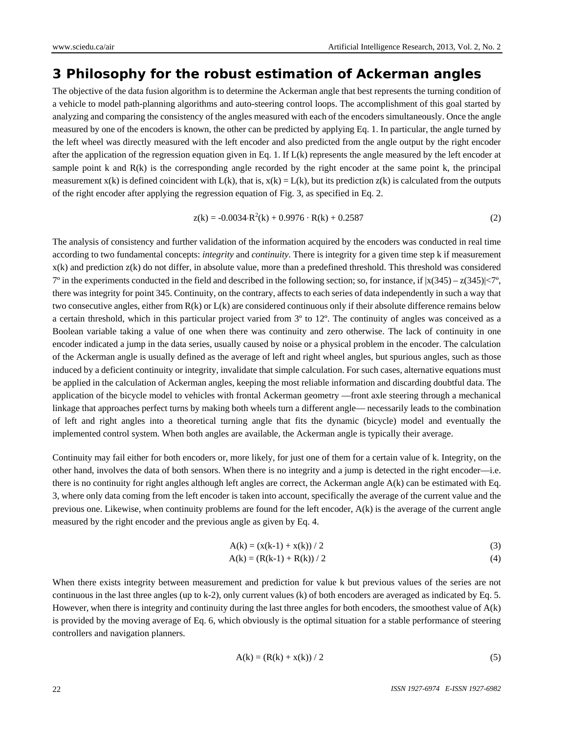## **3 Philosophy for the robust estimation of Ackerman angles**

The objective of the data fusion algorithm is to determine the Ackerman angle that best represents the turning condition of a vehicle to model path-planning algorithms and auto-steering control loops. The accomplishment of this goal started by analyzing and comparing the consistency of the angles measured with each of the encoders simultaneously. Once the angle measured by one of the encoders is known, the other can be predicted by applying Eq. 1. In particular, the angle turned by the left wheel was directly measured with the left encoder and also predicted from the angle output by the right encoder after the application of the regression equation given in Eq. 1. If  $L(k)$  represents the angle measured by the left encoder at sample point k and  $R(k)$  is the corresponding angle recorded by the right encoder at the same point k, the principal measurement  $x(k)$  is defined coincident with  $L(k)$ , that is,  $x(k) = L(k)$ , but its prediction  $z(k)$  is calculated from the outputs of the right encoder after applying the regression equation of Fig. 3, as specified in Eq. 2.

$$
z(k) = -0.0034 \cdot R^2(k) + 0.9976 \cdot R(k) + 0.2587
$$
 (2)

The analysis of consistency and further validation of the information acquired by the encoders was conducted in real time according to two fundamental concepts: *integrity* and *continuity*. There is integrity for a given time step k if measurement  $x(k)$  and prediction  $z(k)$  do not differ, in absolute value, more than a predefined threshold. This threshold was considered  $7^\circ$  in the experiments conducted in the field and described in the following section; so, for instance, if  $|x(345) - z(345)| < 7^\circ$ , there was integrity for point 345. Continuity, on the contrary, affects to each series of data independently in such a way that two consecutive angles, either from  $R(k)$  or  $L(k)$  are considered continuous only if their absolute difference remains below a certain threshold, which in this particular project varied from 3º to 12º. The continuity of angles was conceived as a Boolean variable taking a value of one when there was continuity and zero otherwise. The lack of continuity in one encoder indicated a jump in the data series, usually caused by noise or a physical problem in the encoder. The calculation of the Ackerman angle is usually defined as the average of left and right wheel angles, but spurious angles, such as those induced by a deficient continuity or integrity, invalidate that simple calculation. For such cases, alternative equations must be applied in the calculation of Ackerman angles, keeping the most reliable information and discarding doubtful data. The application of the bicycle model to vehicles with frontal Ackerman geometry —front axle steering through a mechanical linkage that approaches perfect turns by making both wheels turn a different angle— necessarily leads to the combination of left and right angles into a theoretical turning angle that fits the dynamic (bicycle) model and eventually the implemented control system. When both angles are available, the Ackerman angle is typically their average.

Continuity may fail either for both encoders or, more likely, for just one of them for a certain value of k. Integrity, on the other hand, involves the data of both sensors. When there is no integrity and a jump is detected in the right encoder—i.e. there is no continuity for right angles although left angles are correct, the Ackerman angle A(k) can be estimated with Eq. 3, where only data coming from the left encoder is taken into account, specifically the average of the current value and the previous one. Likewise, when continuity problems are found for the left encoder,  $A(k)$  is the average of the current angle measured by the right encoder and the previous angle as given by Eq. 4.

$$
A(k) = (x(k-1) + x(k)) / 2
$$
 (3)

$$
A(k) = (R(k-1) + R(k)) / 2
$$
 (4)

When there exists integrity between measurement and prediction for value k but previous values of the series are not continuous in the last three angles (up to k-2), only current values (k) of both encoders are averaged as indicated by Eq. 5. However, when there is integrity and continuity during the last three angles for both encoders, the smoothest value of A(k) is provided by the moving average of Eq. 6, which obviously is the optimal situation for a stable performance of steering controllers and navigation planners.

$$
A(k) = (R(k) + x(k)) / 2
$$
 (5)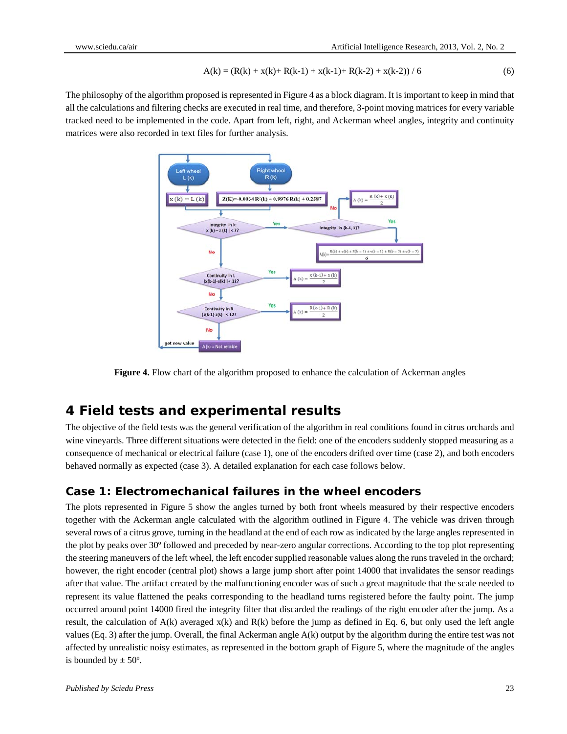$$
A(k) = (R(k) + x(k) + R(k-1) + x(k-1) + R(k-2) + x(k-2))/6
$$
\n(6)

The philosophy of the algorithm proposed is represented in Figure 4 as a block diagram. It is important to keep in mind that all the calculations and filtering checks are executed in real time, and therefore, 3-point moving matrices for every variable tracked need to be implemented in the code. Apart from left, right, and Ackerman wheel angles, integrity and continuity matrices were also recorded in text files for further analysis.



**Figure 4.** Flow chart of the algorithm proposed to enhance the calculation of Ackerman angles

#### **4 Field tests and experimental results**

The objective of the field tests was the general verification of the algorithm in real conditions found in citrus orchards and wine vineyards. Three different situations were detected in the field: one of the encoders suddenly stopped measuring as a consequence of mechanical or electrical failure (case 1), one of the encoders drifted over time (case 2), and both encoders behaved normally as expected (case 3). A detailed explanation for each case follows below.

#### **Case 1: Electromechanical failures in the wheel encoders**

The plots represented in Figure 5 show the angles turned by both front wheels measured by their respective encoders together with the Ackerman angle calculated with the algorithm outlined in Figure 4. The vehicle was driven through several rows of a citrus grove, turning in the headland at the end of each row as indicated by the large angles represented in the plot by peaks over 30º followed and preceded by near-zero angular corrections. According to the top plot representing the steering maneuvers of the left wheel, the left encoder supplied reasonable values along the runs traveled in the orchard; however, the right encoder (central plot) shows a large jump short after point 14000 that invalidates the sensor readings after that value. The artifact created by the malfunctioning encoder was of such a great magnitude that the scale needed to represent its value flattened the peaks corresponding to the headland turns registered before the faulty point. The jump occurred around point 14000 fired the integrity filter that discarded the readings of the right encoder after the jump. As a result, the calculation of  $A(k)$  averaged  $x(k)$  and  $R(k)$  before the jump as defined in Eq. 6, but only used the left angle values (Eq. 3) after the jump. Overall, the final Ackerman angle  $A(k)$  output by the algorithm during the entire test was not affected by unrealistic noisy estimates, as represented in the bottom graph of Figure 5, where the magnitude of the angles is bounded by  $\pm$  50 $^{\circ}$ .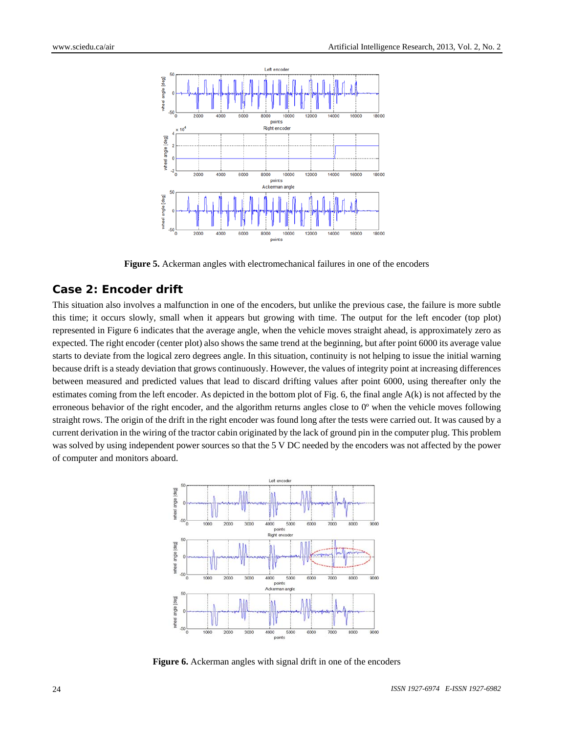

**Figure 5.** Ackerman angles with electromechanical failures in one of the encoders

#### **Case 2: Encoder drift**

This situation also involves a malfunction in one of the encoders, but unlike the previous case, the failure is more subtle this time; it occurs slowly, small when it appears but growing with time. The output for the left encoder (top plot) represented in Figure 6 indicates that the average angle, when the vehicle moves straight ahead, is approximately zero as expected. The right encoder (center plot) also shows the same trend at the beginning, but after point 6000 its average value starts to deviate from the logical zero degrees angle. In this situation, continuity is not helping to issue the initial warning because drift is a steady deviation that grows continuously. However, the values of integrity point at increasing differences between measured and predicted values that lead to discard drifting values after point 6000, using thereafter only the estimates coming from the left encoder. As depicted in the bottom plot of Fig. 6, the final angle A(k) is not affected by the erroneous behavior of the right encoder, and the algorithm returns angles close to 0º when the vehicle moves following straight rows. The origin of the drift in the right encoder was found long after the tests were carried out. It was caused by a current derivation in the wiring of the tractor cabin originated by the lack of ground pin in the computer plug. This problem was solved by using independent power sources so that the 5 V DC needed by the encoders was not affected by the power of computer and monitors aboard.



Figure 6. Ackerman angles with signal drift in one of the encoders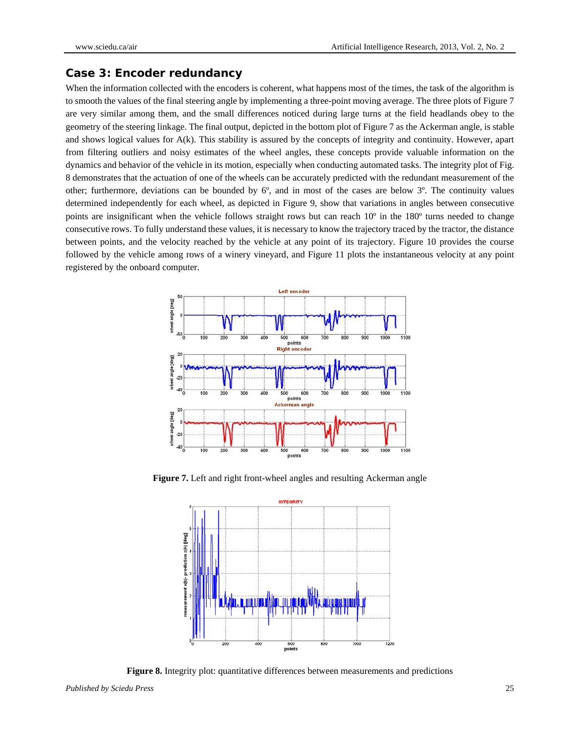#### **Case 3: Encoder redundancy**

When the information collected with the encoders is coherent, what happens most of the times, the task of the algorithm is to smooth the values of the final steering angle by implementing a three-point moving average. The three plots of Figure 7 are very similar among them, and the small differences noticed during large turns at the field headlands obey to the geometry of the steering linkage. The final output, depicted in the bottom plot of Figure 7 as the Ackerman angle, is stable and shows logical values for  $A(k)$ . This stability is assured by the concepts of integrity and continuity. However, apart from filtering outliers and noisy estimates of the wheel angles, these concepts provide valuable information on the dynamics and behavior of the vehicle in its motion, especially when conducting automated tasks. The integrity plot of Fig. 8 demonstrates that the actuation of one of the wheels can be accurately predicted with the redundant measurement of the other; furthermore, deviations can be bounded by  $6^\circ$ , and in most of the cases are below  $3^\circ$ . The continuity values determined independently for each wheel, as depicted in Figure 9, show that variations in angles between consecutive points are insignificant when the vehicle follows straight rows but can reach 10º in the 180º turns needed to change consecutive rows. To fully understand these values, it is necessary to know the trajectory traced by the tractor, the distance between points, and the velocity reached by the vehicle at any point of its trajectory. Figure 10 provides the course followed by the vehicle among rows of a winery vineyard, and Figure 11 plots the instantaneous velocity at any point registered by the onboard computer.



**Figure 7.** Left and right front-wheel angles and resulting Ackerman angle



**Figure 8.** Integrity plot: quantitative differences between measurements and predictions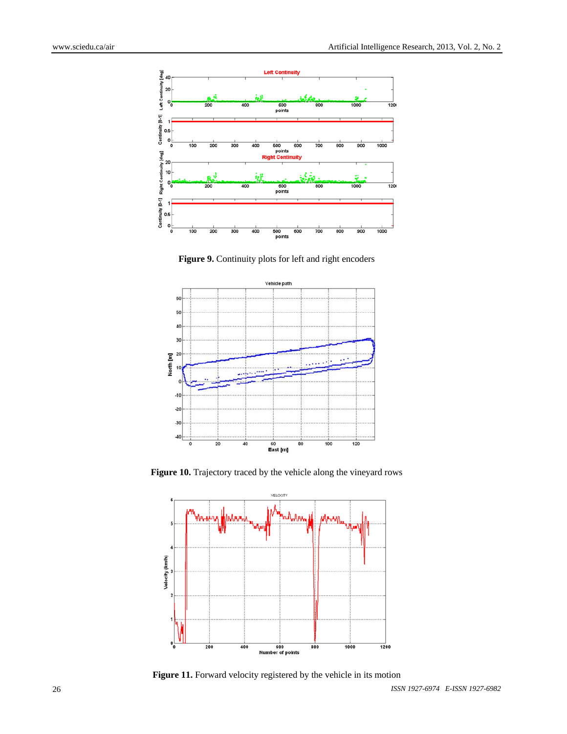

**Figure 9.** Continuity plots for left and right encoders



**Figure 10.** Trajectory traced by the vehicle along the vineyard rows



**Figure 11.** Forward velocity registered by the vehicle in its motion